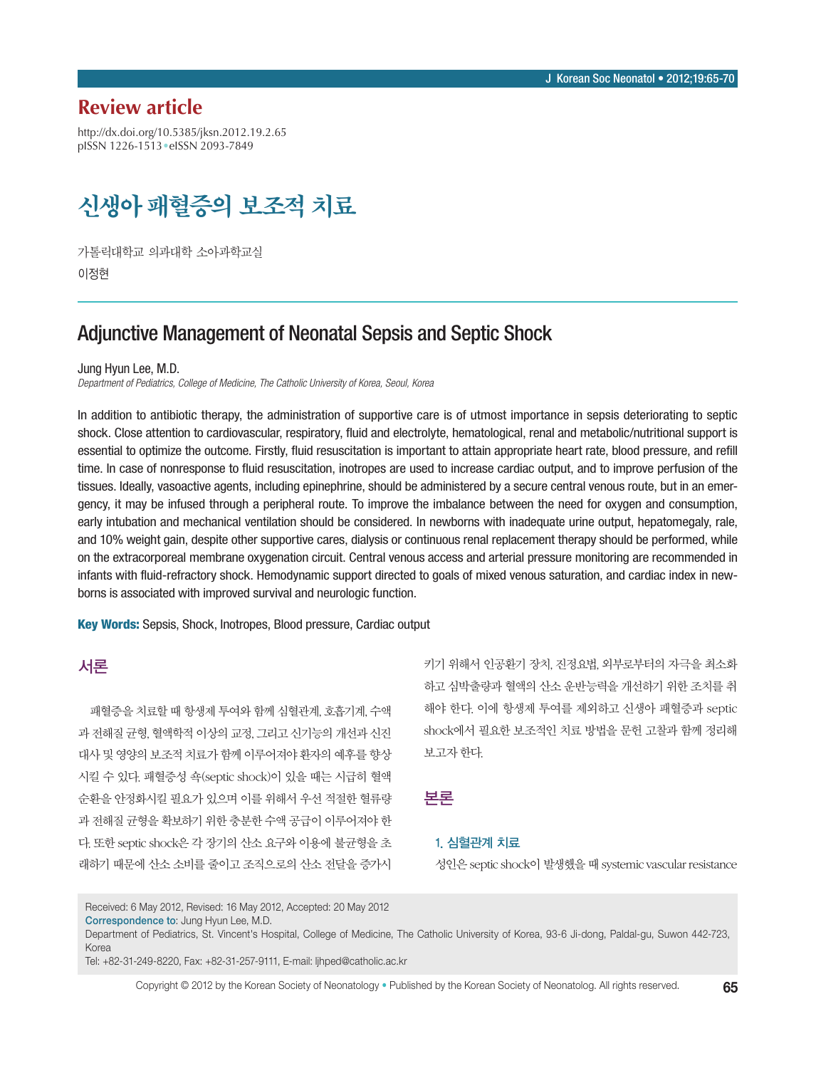## **Review article**

http://dx.doi.org/10.5385/jksn.2012.19.2.65 pISSN 1226-1513•eISSN 2093-7849

# 신생아 패혈증의 보조적 치료

가톨릭대학교 의과대학 소아과학교실 이정현

## Adjunctive Management of Neonatal Sepsis and Septic Shock

Jung Hyun Lee, M.D.

*Department of Pediatrics, College of Medicine, The Catholic University of Korea, Seoul, Korea*

In addition to antibiotic therapy, the administration of supportive care is of utmost importance in sepsis deteriorating to septic shock. Close attention to cardiovascular, respiratory, fluid and electrolyte, hematological, renal and metabolic/nutritional support is essential to optimize the outcome. Firstly, fluid resuscitation is important to attain appropriate heart rate, blood pressure, and refill time. In case of nonresponse to fluid resuscitation, inotropes are used to increase cardiac output, and to improve perfusion of the tissues. Ideally, vasoactive agents, including epinephrine, should be administered by a secure central venous route, but in an emergency, it may be infused through a peripheral route. To improve the imbalance between the need for oxygen and consumption, early intubation and mechanical ventilation should be considered. In newborns with inadequate urine output, hepatomegaly, rale, and 10% weight gain, despite other supportive cares, dialysis or continuous renal replacement therapy should be performed, while on the extracorporeal membrane oxygenation circuit. Central venous access and arterial pressure monitoring are recommended in infants with fluid-refractory shock. Hemodynamic support directed to goals of mixed venous saturation, and cardiac index in newborns is associated with improved survival and neurologic function.

Key Words: Sepsis, Shock, Inotropes, Blood pressure, Cardiac output

#### 서론

패혈증을 치료할 때 항생제 투여와 함께 심혈관계, 호흡기계, 수액 과 전해질 균형, 혈액학적 이상의 교정, 그리고 신기능의 개선과 신진 대사 및 영양의 보조적 치료가 함께 이루어져야 환자의 예후를 향상 시킬 수 있다. 패혈증성 쇽(septic shock)이 있을 때는 시급히 혈액 순환을 안정화시킬 필요가 있으며 이를 위해서 우선 적절한 혈류량 과 전해질 균형을 확보하기 위한 충분한 수액 공급이 이루어져야 한 다. 또한 septic shock은 각 장기의 산소 요구와 이용에 불균형을 초 래하기 때문에 산소 소비를 줄이고 조직으로의 산소 전달을 증가시

키기 위해서 인공환기 장치, 진정요법, 외부로부터의 자극을 최소화 하고 심박출량과 혈액의 산소 운반능력을 개선하기 위한 조치를 취 해야 한다. 이에 항생제 투여를 제외하고 신생아 패혈증과 septic shock에서 필요한 보조적인 치료 방법을 문헌 고찰과 함께 정리해 보고자 한다.

#### 본론

#### 1. 심혈관계 치료

성인은 septic shock이 발생했을 때 systemic vascular resistance

Received: 6 May 2012, Revised: 16 May 2012, Accepted: 20 May 2012 Correspondence to: Jung Hyun Lee, M.D.

Department of Pediatrics, St. Vincent's Hospital, College of Medicine, The Catholic University of Korea, 93-6 Ji-dong, Paldal-gu, Suwon 442-723, Korea

Tel: +82-31-249-8220, Fax: +82-31-257-9111, E-mail: ljhped@catholic.ac.kr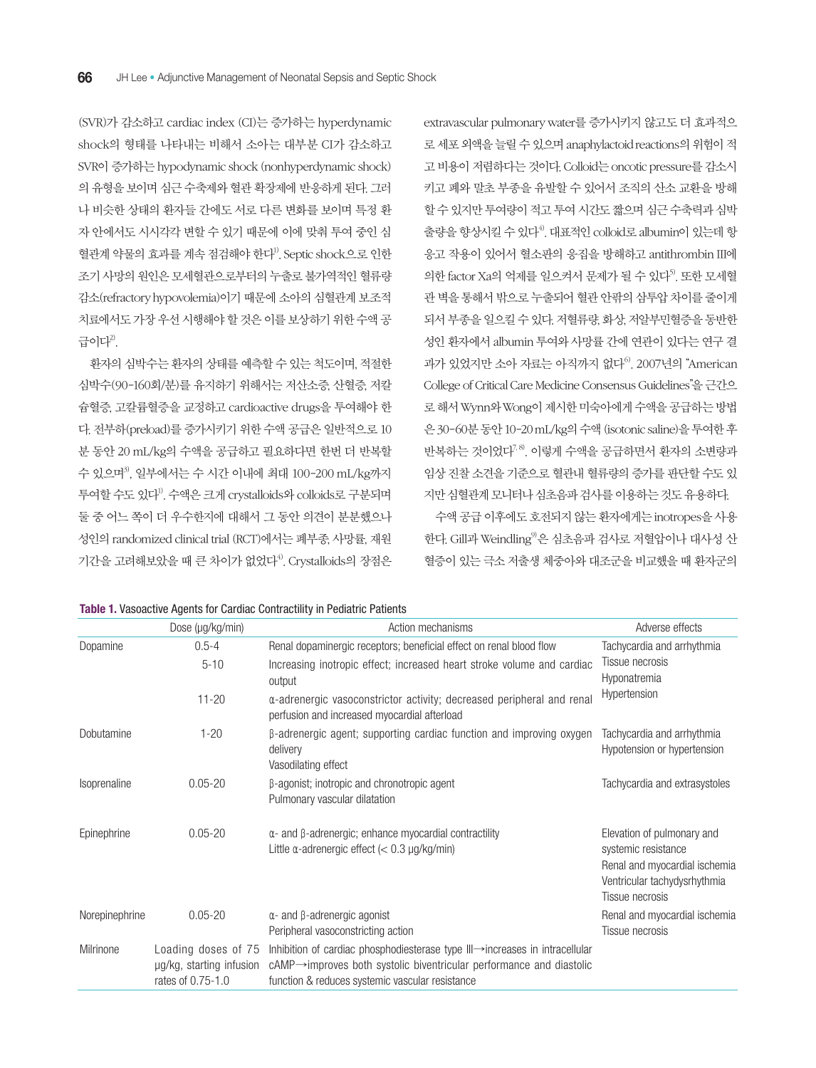(SVR)가 감소하고 cardiac index (CI)는 증가하는 hyperdynamic shock의 형태를 나타내는 비해서 소아는 대부분 CI가 감소하고 SVR이 증가하는 hypodynamic shock (nonhyperdynamic shock) 의 유형을 보이며 심근 수축제와 혈관 확장제에 반응하게 된다. 그러 나 비슷한 상태의 환자들 간에도 서로 다른 변화를 보이며 특정 환 자 안에서도 시시각각 변할 수 있기 때문에 이에 맞춰 투여 중인 심 혈관계 약물의 효과를 계속 점검해야 한다<sup>1)</sup>. Septic shock으로 인한 조기 사망의 원인은 모세혈관으로부터의 누출로 불가역적인 혈류량 감소(refractory hypovolemia)이기 때문에 소아의 심혈관계 보조적 치료에서도 가장 우선 시행해야 할 것은 이를 보상하기 위한 수액 공 급이다 $^{2}$ .

환자의 심박수는 환자의 상태를 예측할 수 있는 척도이며, 적절한 심박수(90-160회/분)를 유지하기 위해서는 저산소증, 산혈증, 저칼 슘혈증, 고칼륨혈증을 교정하고 cardioactive drugs을 투여해야 한 다. 전부하(preload)를 증가시키기 위한 수액 공급은 일반적으로 10 분 동안 20 mL/kg의 수액을 공급하고 필요하다면 한번 더 반복할 수 있으며3), 일부에서는 수 시간 이내에 최대 100-200 mL/kg까지 투여할 수도 있다1). 수액은 크게 crystalloids와 colloids로 구분되며 둘 중 어느 쪽이 더 우수한지에 대해서 그 동안 의견이 분분했으나 성인의 randomized clinical trial (RCT)에서는 폐부종, 사망률, 재원 기간을 고려해보았을 때 큰 차이가 없었다 $4^9$ . Crystalloids의 장점은

extravascular pulmonary water를 증가시키지 않고도 더 효과적으 로 세포 외액을 늘릴 수 있으며 anaphylactoid reactions의 위험이 적 고 비용이 저렴하다는 것이다. Colloid는 oncotic pressure를 감소시 키고 폐와 말초 부종을 유발할 수 있어서 조직의 산소 교환을 방해 할 수 있지만 투여량이 적고 투여 시간도 짧으며 심근 수축력과 심박 출량을 향상시킬 수 있다<sup>4)</sup>. 대표적인 colloid로 albumin이 있는데 항 응고 작용이 있어서 혈소판의 응집을 방해하고 antithrombin III에 의한 factor Xa의 억제를 일으켜서 문제가 될 수 있다<sup>5</sup>. 또한 모세혈 관 벽을 통해서 밖으로 누출되어 혈관 안팎의 삼투압 차이를 줄이게 되서 부종을 일으킬 수 있다. 저혈류량, 화상, 저알부민혈증을 동반한 성인 환자에서 albumin 투여와 사망률 간에 연관이 있다는 연구 결 과가 있었지만 소아 자료는 아직까지 없다 $^{6}$ . 2007년의 "American College of Critical Care Medicine Consensus Guidelines"을 근간으 로 해서 Wynn와 Wong이 제시한 미숙아에게 수액을 공급하는 방법 은 30-60분 동안 10-20 mL/kg의 수액 (isotonic saline)을 투여한 후 반복하는 것이었다<sup>7,8)</sup>. 이렇게 수액을 공급하면서 환자의 소변량과 임상 진찰 소견을 기준으로 혈관내 혈류량의 증가를 판단할 수도 있 지만 심혈관계 모니터나 심초음파 검사를 이용하는 것도 유용하다.

수액 공급 이후에도 호전되지 않는 환자에게는 inotropes을 사용 한다. Gill과 Weindling<sup>9)</sup>은 심초음파 검사로 저혈압이나 대사성 산 혈증이 있는 극소 저출생 체중아와 대조군을 비교했을 때 환자군의

|                | Dose (µg/kg/min)                                                     | Action mechanisms                                                                                                                                                                                                      | Adverse effects                                                                                                                       |
|----------------|----------------------------------------------------------------------|------------------------------------------------------------------------------------------------------------------------------------------------------------------------------------------------------------------------|---------------------------------------------------------------------------------------------------------------------------------------|
| Dopamine       | $0.5 - 4$                                                            | Renal dopaminergic receptors; beneficial effect on renal blood flow                                                                                                                                                    | Tachycardia and arrhythmia<br>Tissue necrosis<br>Hyponatremia<br>Hypertension                                                         |
|                | $5 - 10$                                                             | Increasing inotropic effect; increased heart stroke volume and cardiac<br>output                                                                                                                                       |                                                                                                                                       |
|                | $11 - 20$                                                            | a-adrenergic vasoconstrictor activity; decreased peripheral and renal<br>perfusion and increased myocardial afterload                                                                                                  |                                                                                                                                       |
| Dobutamine     | $1 - 20$                                                             | β-adrenergic agent; supporting cardiac function and improving oxygen<br>delivery<br>Vasodilating effect                                                                                                                | Tachycardia and arrhythmia<br>Hypotension or hypertension                                                                             |
| Isoprenaline   | $0.05 - 20$                                                          | $\beta$ -agonist; inotropic and chronotropic agent<br>Pulmonary vascular dilatation                                                                                                                                    | Tachycardia and extrasystoles                                                                                                         |
| Epinephrine    | $0.05 - 20$                                                          | $\alpha$ - and $\beta$ -adrenergic; enhance myocardial contractility<br>Little $\alpha$ -adrenergic effect (< 0.3 µg/kg/min)                                                                                           | Elevation of pulmonary and<br>systemic resistance<br>Renal and myocardial ischemia<br>Ventricular tachydysrhythmia<br>Tissue necrosis |
| Norepinephrine | $0.05 - 20$                                                          | $\alpha$ - and $\beta$ -adrenergic agonist<br>Peripheral vasoconstricting action                                                                                                                                       | Renal and myocardial ischemia<br>Tissue necrosis                                                                                      |
| Milrinone      | Loading doses of 75<br>ug/kg, starting infusion<br>rates of 0.75-1.0 | Inhibition of cardiac phosphodiesterase type III→increases in intracellular<br>$c$ AMP $\rightarrow$ improves both systolic biventricular performance and diastolic<br>function & reduces systemic vascular resistance |                                                                                                                                       |

#### **Table 1.** Vasoactive Agents for Cardiac Contractility in Pediatric Patients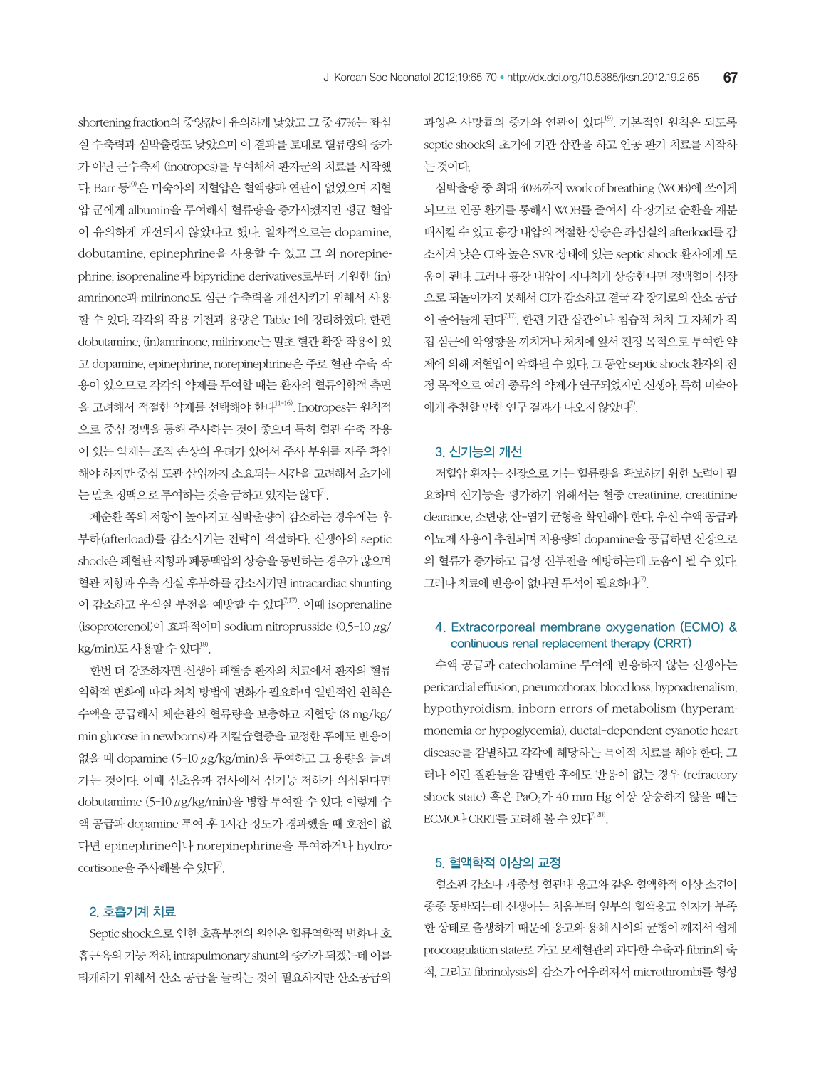shortening fraction의 중앙값이 유의하게 낮았고 그 중 47%는 좌심 실 수축력과 심박출량도 낮았으며 이 결과를 토대로 혈류량의 증가 가 아닌 근수축제 (inotropes)를 투여해서 환자군의 치료를 시작했 다. Barr 등10)은 미숙아의 저혈압은 혈액량과 연관이 없었으며 저혈 압 군에게 albumin을 투여해서 혈류량을 증가시켰지만 평균 혈압 이 유의하게 개선되지 않았다고 했다. 일차적으로는 dopamine, dobutamine, epinephrine을 사용할 수 있고 그 외 norepinephrine, isoprenaline과 bipyridine derivatives로부터 기원한 (in) amrinone과 milrinone도 심근 수축력을 개선시키기 위해서 사용 할 수 있다. 각각의 작용 기전과 용량은 Table 1에 정리하였다. 한편 dobutamine, (in)amrinone, milrinone는 말초 혈관 확장 작용이 있 고 dopamine, epinephrine, norepinephrine은 주로 혈관 수축 작 용이 있으므로 각각의 약제를 투여할 때는 환자의 혈류역학적 측면 을 고려해서 적절한 약제를 선택해야 한다<sup>11-16)</sup>. Inotropes는 원칙적 으로 중심 정맥을 통해 주사하는 것이 좋으며 특히 혈관 수축 작용 이 있는 약제는 조직 손상의 우려가 있어서 주사 부위를 자주 확인 해야 하지만 중심 도관 삽입까지 소요되는 시간을 고려해서 초기에 는 말초 정맥으로 투여하는 것을 금하고 있지는 않다<sup>?)</sup>.

체순환 쪽의 저항이 높아지고 심박출량이 감소하는 경우에는 후 부하(afterload)를 감소시키는 전략이 적절하다. 신생아의 septic shock은 폐혈관 저항과 폐동맥압의 상승을 동반하는 경우가 많으며 혈관 저항과 우측 심실 후부하를 감소시키면 intracardiac shunting 이 감소하고 우심실 부전을 예방할 수 있다 $^{7,17)}$ . 이때 isoprenaline (isoproterenol)이 효과적이며 sodium nitroprusside (0.5-10 μg/ kg/min)도 사용할 수 있다<sup>18)</sup>.

한번 더 강조하자면 신생아 패혈증 환자의 치료에서 환자의 혈류 역학적 변화에 따라 처치 방법에 변화가 필요하며 일반적인 원칙은 수액을 공급해서 체순환의 혈류량을 보충하고 저혈당 (8 mg/kg/ min glucose in newborns)과 저칼슘혈증을 교정한 후에도 반응이 없을 때 dopamine (5-10 μg/kg/min)을 투여하고 그 용량을 늘려 가는 것이다. 이때 심초음파 검사에서 심기능 저하가 의심된다면 dobutamime (5-10 μg/kg/min)을 병합 투여할 수 있다. 이렇게 수 액 공급과 dopamine 투여 후 1시간 정도가 경과했을 때 호전이 없 다면 epinephrine이나 norepinephrine을 투여하거나 hydrocortisone을 주사해볼 수 있다<sup>7)</sup>.

#### 2. 호흡기계 치료

Septic shock으로 인한 호흡부전의 원인은 혈류역학적 변화나 호 흡근육의 기능 저하, intrapulmonary shunt의 증가가 되겠는데 이를 타개하기 위해서 산소 공급을 늘리는 것이 필요하지만 산소공급의 과잉은 사망률의 증가와 연관이 있다<sup>19</sup>. 기본적인 원칙은 되도록 septic shock의 초기에 기관 삽관을 하고 인공 환기 치료를 시작하 는 것이다.

심박출량 중 최대 40%까지 work of breathing (WOB)에 쓰이게 되므로 인공 환기를 통해서 WOB를 줄여서 각 장기로 순환을 재분 배시킬 수 있고 흉강 내압의 적절한 상승은 좌심실의 afterload를 감 소시켜 낮은 CI와 높은 SVR 상태에 있는 septic shock 환자에게 도 움이 된다. 그러나 흉강 내압이 지나치게 상승한다면 정맥혈이 심장 으로 되돌아가지 못해서 CI가 감소하고 결국 각 장기로의 산소 공급 이 줄어들게 된다7,17). 한편 기관 삽관이나 침습적 처치 그 자체가 직 접 심근에 악영향을 끼치거나 처치에 앞서 진정 목적으로 투여한 약 제에 의해 저혈압이 악화될 수 있다. 그 동안 septic shock 환자의 진 정 목적으로 여러 종류의 약제가 연구되었지만 신생아, 특히 미숙아 에게 추천할 만한 연구 결과가 나오지 않았다".

#### 3. 신기능의 개선

저혈압 환자는 신장으로 가는 혈류량을 확보하기 위한 노력이 필 요하며 신기능을 평가하기 위해서는 혈중 creatinine, creatinine clearance, 소변량, 산-염기 균형을 확인해야 한다. 우선 수액 공급과 이뇨제 사용이 추천되며 저용량의 dopamine을 공급하면 신장으로 의 혈류가 증가하고 급성 신부전을 예방하는데 도움이 될 수 있다. 그러나 치료에 반응이 없다면 투석이 필요하다<sup>17)</sup>.

#### 4. Extracorporeal membrane oxygenation (ECMO) & continuous renal replacement therapy (CRRT)

수액 공급과 catecholamine 투여에 반응하지 않는 신생아는 pericardial effusion, pneumothorax, blood loss, hypoadrenalism, hypothyroidism, inborn errors of metabolism (hyperammonemia or hypoglycemia), ductal-dependent cyanotic heart disease를 감별하고 각각에 해당하는 특이적 치료를 해야 한다. 그 러나 이런 질환들을 감별한 후에도 반응이 없는 경우 (refractory shock state) 혹은 PaO2가 40 mm Hg 이상 상승하지 않을 때는  $ECMO$ 나  $CRRT$ 를 고려해 볼 수 있다<sup>7, 20)</sup>.

#### 5. 혈액학적 이상의 교정

혈소판 감소나 파종성 혈관내 응고와 같은 혈액학적 이상 소견이 종종 동반되는데 신생아는 처음부터 일부의 혈액응고 인자가 부족 한 상태로 출생하기 때문에 응고와 용해 사이의 균형이 깨져서 쉽게 procoagulation state로 가고 모세혈관의 과다한 수축과 fibrin의 축 적, 그리고 fibrinolysis의 감소가 어우러져서 microthrombi를 형성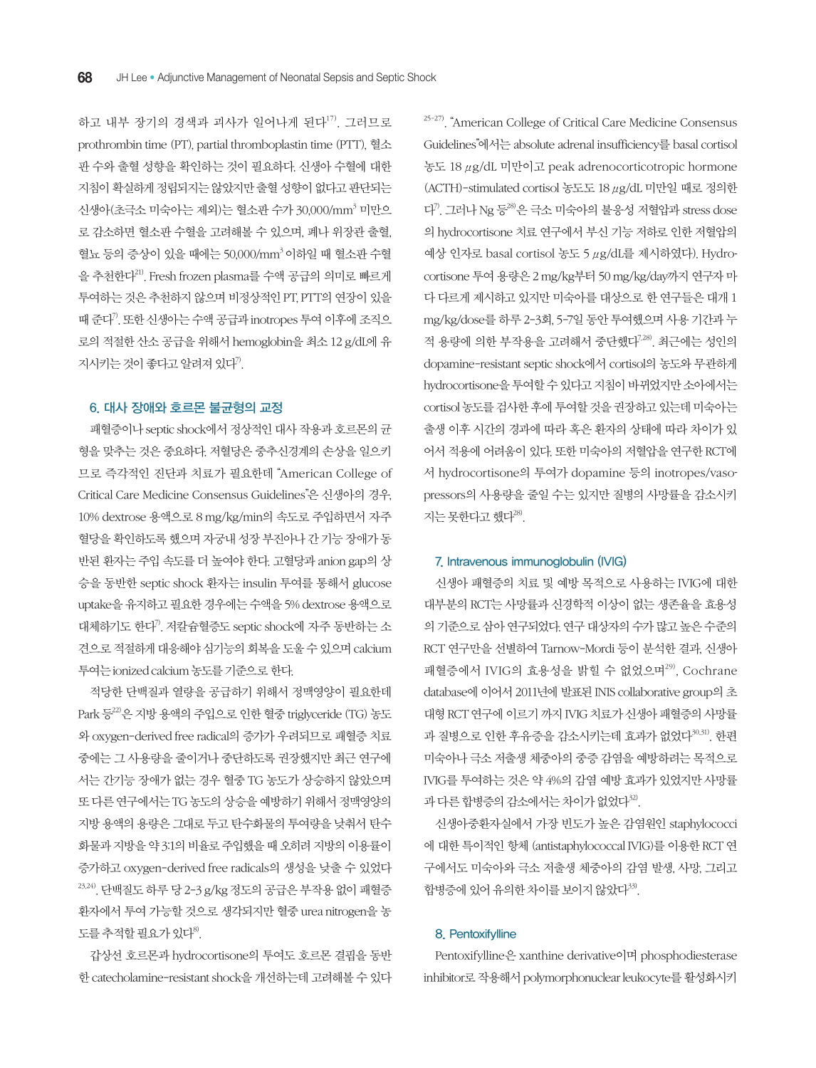하고 내부 장기의 경색과 괴사가 일어나게 된다<sup>17)</sup>. 그러므로 prothrombin time (PT), partial thromboplastin time (PTT), 혈소 판 수와 출혈 성향을 확인하는 것이 필요하다. 신생아 수혈에 대한 지침이 확실하게 정립되지는 않았지만 출혈 성향이 없다고 판단되는 신생아(초극소 미숙아는 제외)는 혈소판 수가 30,000/mm $^3$  미만으 로 감소하면 혈소판 수혈을 고려해볼 수 있으며, 폐나 위장관 출혈, 혈뇨 등의 증상이 있을 때에는 50,000/mm<sup>3</sup> 이하일 때 혈소판 수혈 을 추천한다21). Fresh frozen plasma를 수액 공급의 의미로 빠르게 투여하는 것은 추천하지 않으며 비정상적인 PT, PTT의 연장이 있을 때 준다7). 또한 신생아는 수액 공급과 inotropes 투여 이후에 조직으 로의 적절한 산소 공급을 위해서 hemoglobin을 최소 12 g/dL에 유 지시키는 것이 좋다고 알려져 있다".

#### 6. 대사 장애와 호르몬 불균형의 교정

패혈증이나 septic shock에서 정상적인 대사 작용과 호르몬의 균 형을 맞추는 것은 중요하다. 저혈당은 중추신경계의 손상을 일으키 므로 즉각적인 진단과 치료가 필요한데 "American College of Critical Care Medicine Consensus Guidelines"은 신생아의 경우, 10% dextrose 용액으로 8 mg/kg/min의 속도로 주입하면서 자주 혈당을 확인하도록 했으며 자궁내 성장 부진아나 간 기능 장애가 동 반된 환자는 주입 속도를 더 높여야 한다. 고혈당과 anion gap의 상 승을 동반한 septic shock 환자는 insulin 투여를 통해서 glucose uptake을 유지하고 필요한 경우에는 수액을 5% dextrose 용액으로 대체하기도 한다7). 저칼슘혈증도 septic shock에 자주 동반하는 소 견으로 적절하게 대응해야 심기능의 회복을 도울 수 있으며 calcium 투여는 ionized calcium 농도를 기준으로 한다.

적당한 단백질과 열량을 공급하기 위해서 정맥영양이 필요한데 Park 등22)은 지방 용액의 주입으로 인한 혈중 triglyceride (TG) 농도 와 oxygen-derived free radical의 증가가 우려되므로 패혈증 치료 중에는 그 사용량을 줄이거나 중단하도록 권장했지만 최근 연구에 서는 간기능 장애가 없는 경우 혈중 TG 농도가 상승하지 않았으며 또 다른 연구에서는 TG 농도의 상승을 예방하기 위해서 정맥영양의 지방 용액의 용량은 그대로 두고 탄수화물의 투여량을 낮춰서 탄수 화물과 지방을 약 3:1의 비율로 주입했을 때 오히려 지방의 이용률이 증가하고 oxygen-derived free radicals의 생성을 낮출 수 있었다  $23,24)$ . 단백질도 하루 당 2-3 g/kg 정도의 공급은 부작용 없이 패혈증 환자에서 투여 가능할 것으로 생각되지만 혈중 urea nitrogen을 농 도를 추적할 필요가 있다<sup>8)</sup>.

갑상선 호르몬과 hydrocortisone의 투여도 호르몬 결핍을 동반 한 catecholamine-resistant shock을 개선하는데 고려해볼 수 있다

25-27). "American College of Critical Care Medicine Consensus Guidelines"에서는 absolute adrenal insufficiency를 basal cortisol 농도 18 μg/dL 미만이고 peak adrenocorticotropic hormone (ACTH)-stimulated cortisol 농도도 18 μg/dL 미만일 때로 정의한 다7). 그러나 Ng 등28)은 극소 미숙아의 불응성 저혈압과 stress dose 의 hydrocortisone 치료 연구에서 부신 기능 저하로 인한 저혈압의 예상 인자로 basal cortisol 농도 5 μg/dL를 제시하였다). Hydrocortisone 투여 용량은 2 mg/kg부터 50 mg/kg/day까지 연구자 마 다 다르게 제시하고 있지만 미숙아를 대상으로 한 연구들은 대개 1 mg/kg/dose를 하루 2-3회, 5-7일 동안 투여했으며 사용 기간과 누 적 용량에 의한 부작용을 고려해서 중단했다7,28). 최근에는 성인의 dopamine-resistant septic shock에서 cortisol의 농도와 무관하게 hydrocortisone을 투여할 수 있다고 지침이 바뀌었지만 소아에서는 cortisol 농도를 검사한 후에 투여할 것을 권장하고 있는데 미숙아는 출생 이후 시간의 경과에 따라 혹은 환자의 상태에 따라 차이가 있 어서 적용에 어려움이 있다. 또한 미숙아의 저혈압을 연구한 RCT에 서 hydrocortisone의 투여가 dopamine 등의 inotropes/vasopressors의 사용량을 줄일 수는 있지만 질병의 사망률을 감소시키 지는 못하다고 했다<sup>28)</sup>.

#### 7. Intravenous immunoglobulin (IVIG)

신생아 패혈증의 치료 및 예방 목적으로 사용하는 IVIG에 대한 대부분의 RCT는 사망률과 신경학적 이상이 없는 생존율을 효용성 의 기준으로 삼아 연구되었다. 연구 대상자의 수가 많고 높은 수준의 RCT 연구만을 선별하여 Tarnow-Mordi 등이 분석한 결과, 신생아 패혈증에서 IVIG의 효용성을 밝힐 수 없었으며 $^{29)}$ , Cochrane database에 이어서 2011년에 발표된 INIS collaborative group의 초 대형 RCT 연구에 이르기 까지 IVIG 치료가 신생아 패혈증의 사망률 과 질병으로 인한 후유증을 감소시키는데 효과가 없었다<sup>30,31)</sup>. 한편 미숙아나 극소 저출생 체중아의 중증 감염을 예방하려는 목적으로 IVIG를 투여하는 것은 약 4%의 감염 예방 효과가 있었지만 사망률 과 다른 합병증의 감소에서는 차이가 없었다<sup>32)</sup>.

신생아중환자실에서 가장 빈도가 높은 감염원인 staphylococci 에 대한 특이적인 항체 (antistaphylococcal IVIG)를 이용한 RCT 연 구에서도 미숙아와 극소 저출생 체중아의 감염 발생, 사망, 그리고 합병증에 있어 유의한 차이를 보이지 않았다<sup>33)</sup>.

#### 8. Pentoxifylline

Pentoxifylline은 xanthine derivative이며 phosphodiesterase inhibitor로 작용해서 polymorphonuclear leukocyte를 활성화시키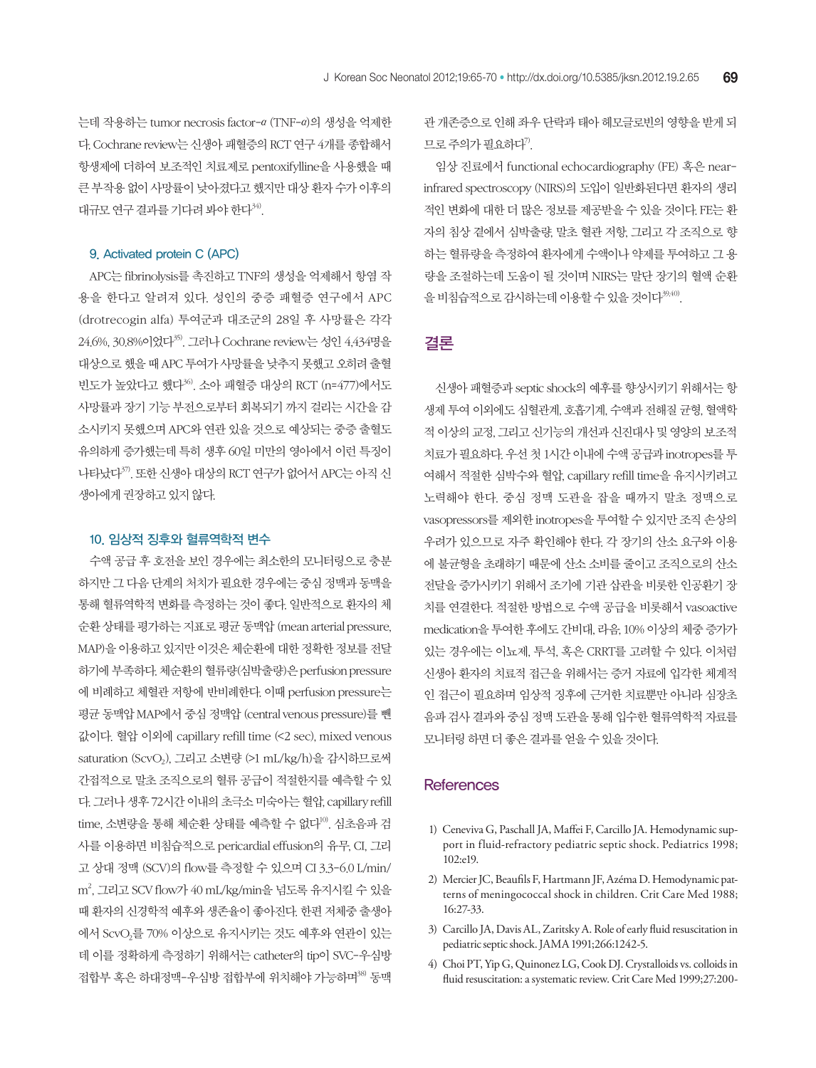는데 작용하는 tumor necrosis factor-α (TNF-α)의 생성을 억제한 다. Cochrane review는 신생아 패혈증의 RCT 연구 4개를 종합해서 항생제에 더하여 보조적인 치료제로 pentoxifylline을 사용했을 때 큰 부작용 없이 사망률이 낮아졌다고 했지만 대상 환자 수가 이후의 대규모 연구 결과를 기다려 봐야 한다<sup>34)</sup>.

#### 9. Activated protein C (APC)

APC는 fibrinolysis를 촉진하고 TNF의 생성을 억제해서 항염 작 용을 한다고 알려져 있다. 성인의 중증 패혈증 연구에서 APC (drotrecogin alfa) 투여군과 대조군의 28일 후 사망률은 각각 24.6%, 30.8%이었다35). 그러나 Cochrane review는 성인 4,434명을 대상으로 했을 때 APC 투여가 사망률을 낮추지 못했고 오히려 출혈 빈도가 높았다고 했다36). 소아 패혈증 대상의 RCT (n=477)에서도 사망률과 장기 기능 부전으로부터 회복되기 까지 걸리는 시간을 감 소시키지 못했으며 APC와 연관 있을 것으로 예상되는 중증 출혈도 유의하게 증가했는데 특히 생후 60일 미만의 영아에서 이런 특징이 나타났다37). 또한 신생아 대상의 RCT 연구가 없어서 APC는 아직 신 생아에게 권장하고 있지 않다.

#### 10. 임상적 징후와 혈류역학적 변수

수액 공급 후 호전을 보인 경우에는 최소한의 모니터링으로 충분 하지만 그 다음 단계의 처치가 필요한 경우에는 중심 정맥과 동맥을 통해 혈류역학적 변화를 측정하는 것이 좋다. 일반적으로 환자의 체 순환 상태를 평가하는 지표로 평균 동맥압 (mean arterial pressure, MAP)을 이용하고 있지만 이것은 체순환에 대한 정확한 정보를 전달 하기에 부족하다. 체순환의 혈류량(심박출량)은 perfusion pressure 에 비례하고 체혈관 저항에 반비례한다. 이때 perfusion pressure는 평균 동맥압 MAP에서 중심 정맥압 (central venous pressure)를 뺀 값이다. 혈압 이외에 capillary refill time (<2 sec), mixed venous saturation (ScvO2), 그리고 소변량 (>1 mL/kg/h)을 감시하므로써 간접적으로 말초 조직으로의 혈류 공급이 적절한지를 예측할 수 있 다. 그러나 생후 72시간 이내의 초극소 미숙아는 혈압, capillary refill time, 소변량을 통해 체순환 상태를 예측할 수 없다 $^{10}$ . 심초음파 검 사를 이용하면 비침습적으로 pericardial effusion의 유무, CI, 그리 고 상대 정맥 (SCV)의 flow를 측정할 수 있으며 CI 3.3-6.0 L/min/ m2 , 그리고 SCV flow가 40 mL/kg/min을 넘도록 유지시킬 수 있을 때 환자의 신경학적 예후와 생존율이 좋아진다. 한편 저체중 출생아 에서 ScvO2를 70% 이상으로 유지시키는 것도 예후와 연관이 있는 데 이를 정확하게 측정하기 위해서는 catheter의 tip이 SVC-우심방 접합부 혹은 하대정맥-우심방 접합부에 위치해야 가능하며<sup>38)</sup> 동맥

관 개존증으로 인해 좌우 단락과 태아 헤모글로빈의 영향을 받게 되 므로 주의가 필요하다".

임상 진료에서 functional echocardiography (FE) 혹은 nearinfrared spectroscopy (NIRS)의 도입이 일반화된다면 환자의 생리 적인 변화에 대한 더 많은 정보를 제공받을 수 있을 것이다. FE는 환 자의 침상 곁에서 심박출량, 말초 혈관 저항, 그리고 각 조직으로 향 하는 혈류량을 측정하여 환자에게 수액이나 약제를 투여하고 그 용 량을 조절하는데 도움이 될 것이며 NIRS는 말단 장기의 혈액 순환 을 비침습적으로 감시하는데 이용할 수 있을 것이다<sup>39,40)</sup>.

### 결론

신생아 패혈증과 septic shock의 예후를 향상시키기 위해서는 항 생제 투여 이외에도 심혈관계, 호흡기계, 수액과 전해질 균형, 혈액학 적 이상의 교정, 그리고 신기능의 개선과 신진대사 및 영양의 보조적 치료가 필요하다. 우선 첫 1시간 이내에 수액 공급과 inotropes를 투 여해서 적절한 심박수와 혈압, capillary refill time을 유지시키려고 노력해야 한다. 중심 정맥 도관을 잡을 때까지 말초 정맥으로 vasopressors를 제외한 inotropes을 투여할 수 있지만 조직 손상의 우려가 있으므로 자주 확인해야 한다. 각 장기의 산소 요구와 이용 에 불균형을 초래하기 때문에 산소 소비를 줄이고 조직으로의 산소 전달을 증가시키기 위해서 조기에 기관 삽관을 비롯한 인공환기 장 치를 연결한다. 적절한 방법으로 수액 공급을 비롯해서 vasoactive medication을 투여한 후에도 간비대, 라음, 10% 이상의 체중 증가가 있는 경우에는 이뇨제, 투석, 혹은 CRRT를 고려할 수 있다. 이처럼 신생아 환자의 치료적 접근을 위해서는 증거 자료에 입각한 체계적 인 접근이 필요하며 임상적 징후에 근거한 치료뿐만 아니라 심장초 음파 검사 결과와 중심 정맥 도관을 통해 입수한 혈류역학적 자료를 모니터링 하면 더 좋은 결과를 얻을 수 있을 것이다.

#### **References**

- 1) Ceneviva G, Paschall JA, Maffei F, Carcillo JA. Hemodynamic support in fluid-refractory pediatric septic shock. Pediatrics 1998; 102:e19.
- 2) Mercier JC, Beaufils F, Hartmann JF, Azéma D. Hemodynamic patterns of meningococcal shock in children. Crit Care Med 1988; 16:27-33.
- 3) Carcillo JA, Davis AL, Zaritsky A. Role of early fluid resuscitation in pediatric septic shock. JAMA 1991;266:1242-5.
- 4) Choi PT, Yip G, Quinonez LG, Cook DJ. Crystalloids vs. colloids in fluid resuscitation: a systematic review. Crit Care Med 1999;27:200-